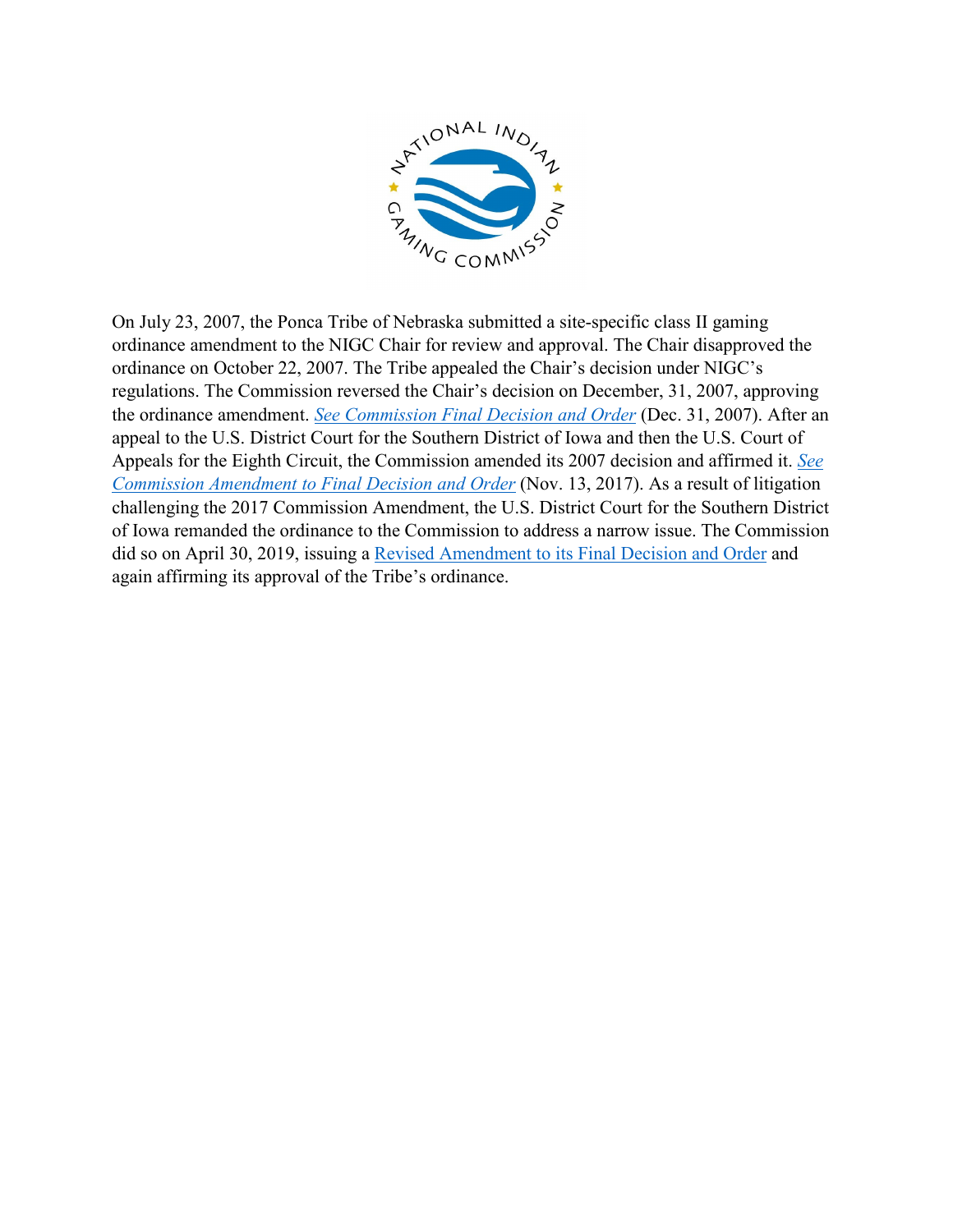

On July 23, 2007, the Ponca Tribe of Nebraska submitted a site-specific class II gaming ordinance amendment to the NIGC Chair for review and approval. The Chair disapproved the ordinance on October 22, 2007. The Tribe appealed the Chair's decision under NIGC's regulations. The Commission reversed the Chair's decision on December, 31, 2007, approving the ordinance amendment. *[See Commission Final Decision and Order](https://www.nigc.gov/images/uploads/final-decisions/Ponca%20Tribe%20of%20Nebraska%2012.31.07.pdf)* (Dec. 31, 2007). After an appeal to the U.S. District Court for the Southern District of Iowa and then the U.S. Court of Appeals for the Eighth Circuit, the Commission amended its 2007 decision and affirmed it. *[See](https://www.nigc.gov/images/uploads/final-decisions/20171113AmendmenttoFinalDecisionandOrderreGamingOrdinancePoncaTribeofNebraska.pdf)  [Commission Amendment to Final Decision and Order](https://www.nigc.gov/images/uploads/final-decisions/20171113AmendmenttoFinalDecisionandOrderreGamingOrdinancePoncaTribeofNebraska.pdf)* (Nov. 13, 2017). As a result of litigation challenging the 2017 Commission Amendment, the U.S. District Court for the Southern District of Iowa remanded the ordinance to the Commission to address a narrow issue. The Commission did so on April 30, 2019, issuing a [Revised Amendment to its Final Decision and Order](https://www.nigc.gov/images/uploads/final-decisions/Revised_Amendment_to_FDO_-_Ponca_NE.PDF) and again affirming its approval of the Tribe's ordinance.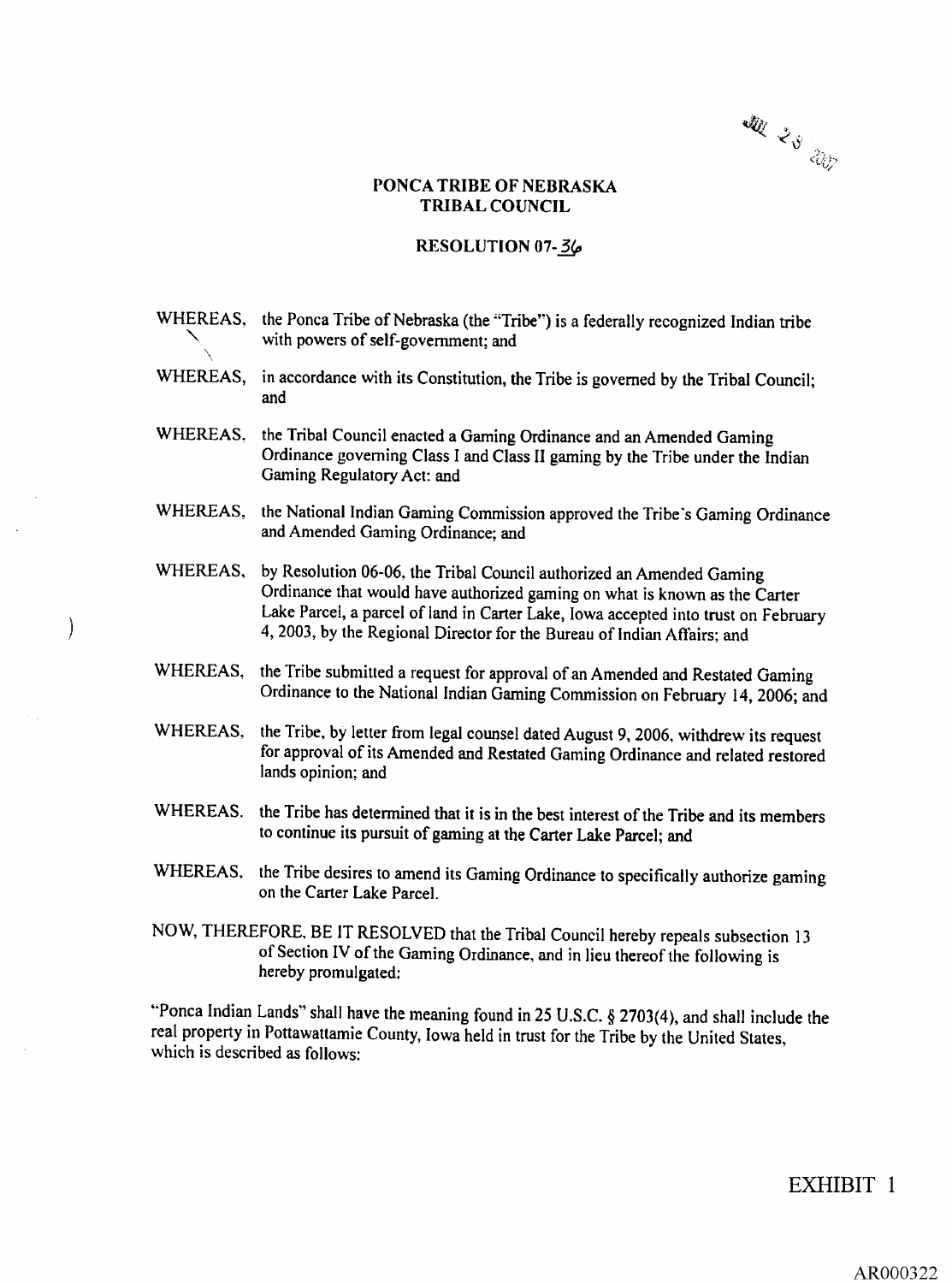W 23 W

## PONCA TRIBE OF NEBRASKA TRIBAL COUNCIL

## RESOLUTION 07-36

|          | WHEREAS, the Ponca Tribe of Nebraska (the "Tribe") is a federally recognized Indian tribe<br>with powers of self-government; and                                                                                                                                                                                    |
|----------|---------------------------------------------------------------------------------------------------------------------------------------------------------------------------------------------------------------------------------------------------------------------------------------------------------------------|
| WHEREAS, | in accordance with its Constitution, the Tribe is governed by the Tribal Council;<br>and                                                                                                                                                                                                                            |
| WHEREAS. | the Tribal Council enacted a Gaming Ordinance and an Amended Gaming<br>Ordinance governing Class I and Class II gaming by the Tribe under the Indian<br>Gaming Regulatory Act: and                                                                                                                                  |
| WHEREAS. | the National Indian Gaming Commission approved the Tribe's Gaming Ordinance<br>and Amended Gaming Ordinance; and                                                                                                                                                                                                    |
| WHEREAS, | by Resolution 06-06, the Tribal Council authorized an Amended Gaming<br>Ordinance that would have authorized gaming on what is known as the Carter<br>Lake Parcel, a parcel of land in Carter Lake, Iowa accepted into trust on February<br>4, 2003, by the Regional Director for the Bureau of Indian Affairs; and |
| WHEREAS, | the Tribe submitted a request for approval of an Amended and Restated Gaming<br>Ordinance to the National Indian Gaming Commission on February 14, 2006; and                                                                                                                                                        |
| WHEREAS. | the Tribe, by letter from legal counsel dated August 9, 2006, withdrew its request<br>for approval of its Amended and Restated Gaming Ordinance and related restored<br>lands opinion; and                                                                                                                          |
| WHEREAS. | the Tribe has determined that it is in the best interest of the Tribe and its members<br>to continue its pursuit of gaming at the Carter Lake Parcel; and                                                                                                                                                           |
| WHEREAS, | the Tribe desires to amend its Gaming Ordinance to specifically authorize gaming<br>on the Carter Lake Parcel.                                                                                                                                                                                                      |
|          | NOW, THEREFORE, BE IT RESOLVED that the Tribal Council hereby repeals subsection 13<br>of Section IV of the Gaming Ordinance, and in lieu thereof the following is<br>hereby promulgated:                                                                                                                           |

 $\ddot{\phantom{a}}$ 

 $\sim$   $_{\star}$ 

 $\hat{\boldsymbol{\beta}}$ 

 $\Big)$ 

"Ponca Indian Lands" shall have the meaning found in 25 U.S.C.  $\S 2703(4)$ , and shall include the real property in Pottawattamie County, Iowa held in trust for the Tribe by the United States which is described as follows:

EXHIBIT 1